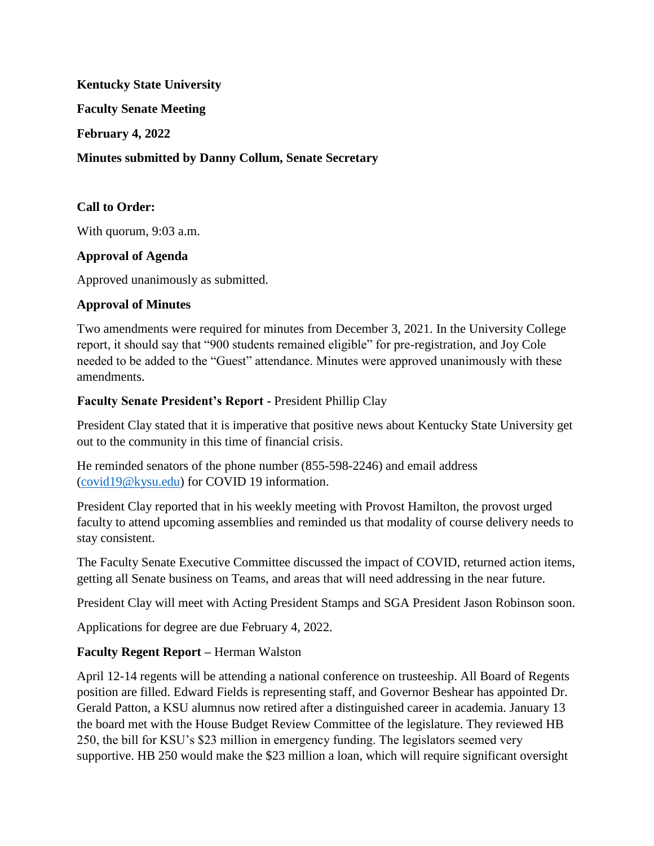**Kentucky State University**

**Faculty Senate Meeting**

**February 4, 2022**

**Minutes submitted by Danny Collum, Senate Secretary**

## **Call to Order:**

With quorum, 9:03 a.m.

#### **Approval of Agenda**

Approved unanimously as submitted.

## **Approval of Minutes**

Two amendments were required for minutes from December 3, 2021. In the University College report, it should say that "900 students remained eligible" for pre-registration, and Joy Cole needed to be added to the "Guest" attendance. Minutes were approved unanimously with these amendments.

## **Faculty Senate President's Report -** President Phillip Clay

President Clay stated that it is imperative that positive news about Kentucky State University get out to the community in this time of financial crisis.

He reminded senators of the phone number (855-598-2246) and email address [\(covid19@kysu.edu\)](mailto:covid19@kysu.edu) for COVID 19 information.

President Clay reported that in his weekly meeting with Provost Hamilton, the provost urged faculty to attend upcoming assemblies and reminded us that modality of course delivery needs to stay consistent.

The Faculty Senate Executive Committee discussed the impact of COVID, returned action items, getting all Senate business on Teams, and areas that will need addressing in the near future.

President Clay will meet with Acting President Stamps and SGA President Jason Robinson soon.

Applications for degree are due February 4, 2022.

# **Faculty Regent Report –** Herman Walston

April 12-14 regents will be attending a national conference on trusteeship. All Board of Regents position are filled. Edward Fields is representing staff, and Governor Beshear has appointed Dr. Gerald Patton, a KSU alumnus now retired after a distinguished career in academia. January 13 the board met with the House Budget Review Committee of the legislature. They reviewed HB 250, the bill for KSU's \$23 million in emergency funding. The legislators seemed very supportive. HB 250 would make the \$23 million a loan, which will require significant oversight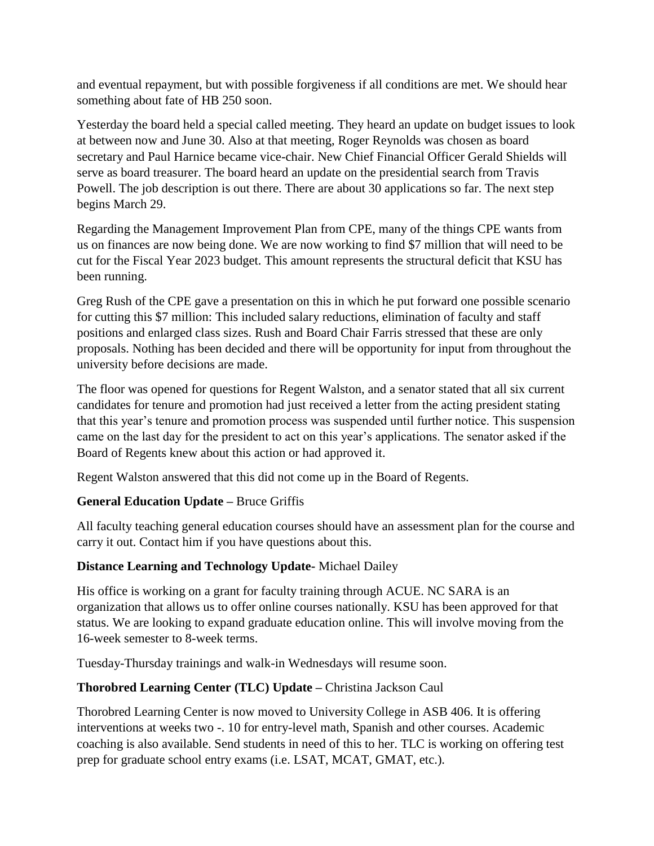and eventual repayment, but with possible forgiveness if all conditions are met. We should hear something about fate of HB 250 soon.

Yesterday the board held a special called meeting. They heard an update on budget issues to look at between now and June 30. Also at that meeting, Roger Reynolds was chosen as board secretary and Paul Harnice became vice-chair. New Chief Financial Officer Gerald Shields will serve as board treasurer. The board heard an update on the presidential search from Travis Powell. The job description is out there. There are about 30 applications so far. The next step begins March 29.

Regarding the Management Improvement Plan from CPE, many of the things CPE wants from us on finances are now being done. We are now working to find \$7 million that will need to be cut for the Fiscal Year 2023 budget. This amount represents the structural deficit that KSU has been running.

Greg Rush of the CPE gave a presentation on this in which he put forward one possible scenario for cutting this \$7 million: This included salary reductions, elimination of faculty and staff positions and enlarged class sizes. Rush and Board Chair Farris stressed that these are only proposals. Nothing has been decided and there will be opportunity for input from throughout the university before decisions are made.

The floor was opened for questions for Regent Walston, and a senator stated that all six current candidates for tenure and promotion had just received a letter from the acting president stating that this year's tenure and promotion process was suspended until further notice. This suspension came on the last day for the president to act on this year's applications. The senator asked if the Board of Regents knew about this action or had approved it.

Regent Walston answered that this did not come up in the Board of Regents.

# **General Education Update –** Bruce Griffis

All faculty teaching general education courses should have an assessment plan for the course and carry it out. Contact him if you have questions about this.

#### **Distance Learning and Technology Update-** Michael Dailey

His office is working on a grant for faculty training through ACUE. NC SARA is an organization that allows us to offer online courses nationally. KSU has been approved for that status. We are looking to expand graduate education online. This will involve moving from the 16-week semester to 8-week terms.

Tuesday-Thursday trainings and walk-in Wednesdays will resume soon.

# **Thorobred Learning Center (TLC) Update –** Christina Jackson Caul

Thorobred Learning Center is now moved to University College in ASB 406. It is offering interventions at weeks two -. 10 for entry-level math, Spanish and other courses. Academic coaching is also available. Send students in need of this to her. TLC is working on offering test prep for graduate school entry exams (i.e. LSAT, MCAT, GMAT, etc.).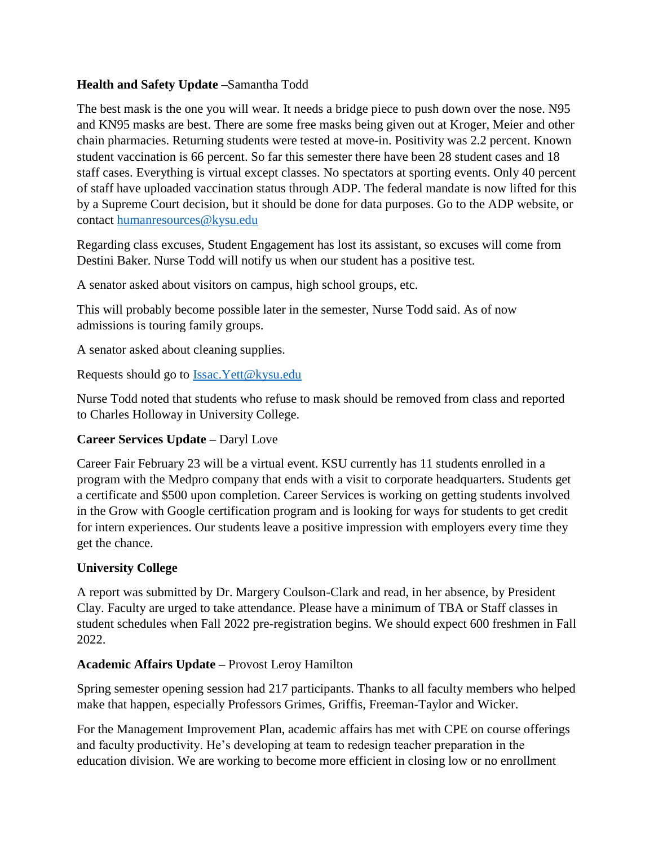## **Health and Safety Update –**Samantha Todd

The best mask is the one you will wear. It needs a bridge piece to push down over the nose. N95 and KN95 masks are best. There are some free masks being given out at Kroger, Meier and other chain pharmacies. Returning students were tested at move-in. Positivity was 2.2 percent. Known student vaccination is 66 percent. So far this semester there have been 28 student cases and 18 staff cases. Everything is virtual except classes. No spectators at sporting events. Only 40 percent of staff have uploaded vaccination status through ADP. The federal mandate is now lifted for this by a Supreme Court decision, but it should be done for data purposes. Go to the ADP website, or contact [humanresources@kysu.edu](mailto:humanresources@kysu.edu)

Regarding class excuses, Student Engagement has lost its assistant, so excuses will come from Destini Baker. Nurse Todd will notify us when our student has a positive test.

A senator asked about visitors on campus, high school groups, etc.

This will probably become possible later in the semester, Nurse Todd said. As of now admissions is touring family groups.

A senator asked about cleaning supplies.

Requests should go to [Issac.Yett@kysu.edu](mailto:Issac.Yett@kysu.edu)

Nurse Todd noted that students who refuse to mask should be removed from class and reported to Charles Holloway in University College.

# **Career Services Update –** Daryl Love

Career Fair February 23 will be a virtual event. KSU currently has 11 students enrolled in a program with the Medpro company that ends with a visit to corporate headquarters. Students get a certificate and \$500 upon completion. Career Services is working on getting students involved in the Grow with Google certification program and is looking for ways for students to get credit for intern experiences. Our students leave a positive impression with employers every time they get the chance.

#### **University College**

A report was submitted by Dr. Margery Coulson-Clark and read, in her absence, by President Clay. Faculty are urged to take attendance. Please have a minimum of TBA or Staff classes in student schedules when Fall 2022 pre-registration begins. We should expect 600 freshmen in Fall 2022.

#### **Academic Affairs Update –** Provost Leroy Hamilton

Spring semester opening session had 217 participants. Thanks to all faculty members who helped make that happen, especially Professors Grimes, Griffis, Freeman-Taylor and Wicker.

For the Management Improvement Plan, academic affairs has met with CPE on course offerings and faculty productivity. He's developing at team to redesign teacher preparation in the education division. We are working to become more efficient in closing low or no enrollment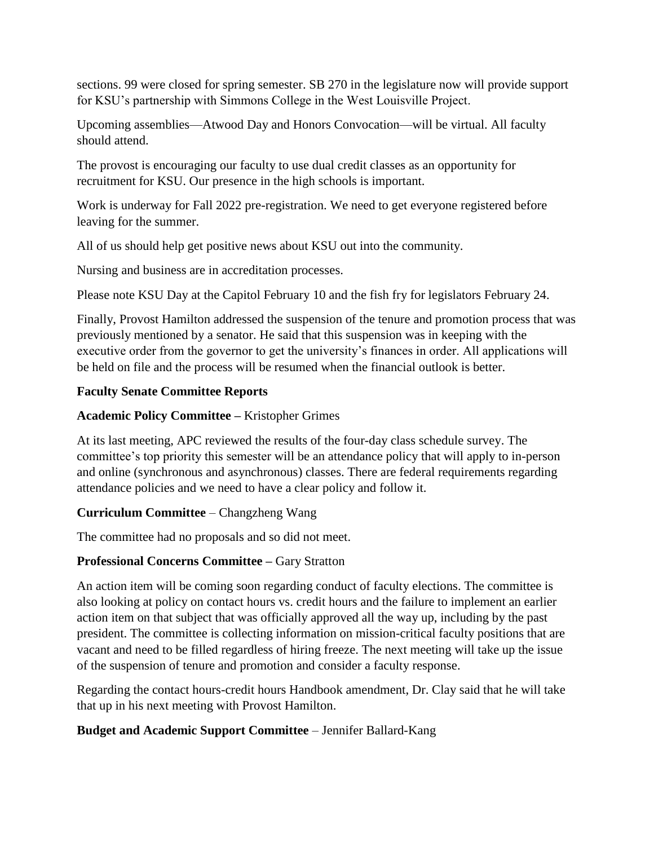sections. 99 were closed for spring semester. SB 270 in the legislature now will provide support for KSU's partnership with Simmons College in the West Louisville Project.

Upcoming assemblies—Atwood Day and Honors Convocation—will be virtual. All faculty should attend.

The provost is encouraging our faculty to use dual credit classes as an opportunity for recruitment for KSU. Our presence in the high schools is important.

Work is underway for Fall 2022 pre-registration. We need to get everyone registered before leaving for the summer.

All of us should help get positive news about KSU out into the community.

Nursing and business are in accreditation processes.

Please note KSU Day at the Capitol February 10 and the fish fry for legislators February 24.

Finally, Provost Hamilton addressed the suspension of the tenure and promotion process that was previously mentioned by a senator. He said that this suspension was in keeping with the executive order from the governor to get the university's finances in order. All applications will be held on file and the process will be resumed when the financial outlook is better.

#### **Faculty Senate Committee Reports**

#### **Academic Policy Committee –** Kristopher Grimes

At its last meeting, APC reviewed the results of the four-day class schedule survey. The committee's top priority this semester will be an attendance policy that will apply to in-person and online (synchronous and asynchronous) classes. There are federal requirements regarding attendance policies and we need to have a clear policy and follow it.

#### **Curriculum Committee** – Changzheng Wang

The committee had no proposals and so did not meet.

# **Professional Concerns Committee –** Gary Stratton

An action item will be coming soon regarding conduct of faculty elections. The committee is also looking at policy on contact hours vs. credit hours and the failure to implement an earlier action item on that subject that was officially approved all the way up, including by the past president. The committee is collecting information on mission-critical faculty positions that are vacant and need to be filled regardless of hiring freeze. The next meeting will take up the issue of the suspension of tenure and promotion and consider a faculty response.

Regarding the contact hours-credit hours Handbook amendment, Dr. Clay said that he will take that up in his next meeting with Provost Hamilton.

#### **Budget and Academic Support Committee** – Jennifer Ballard-Kang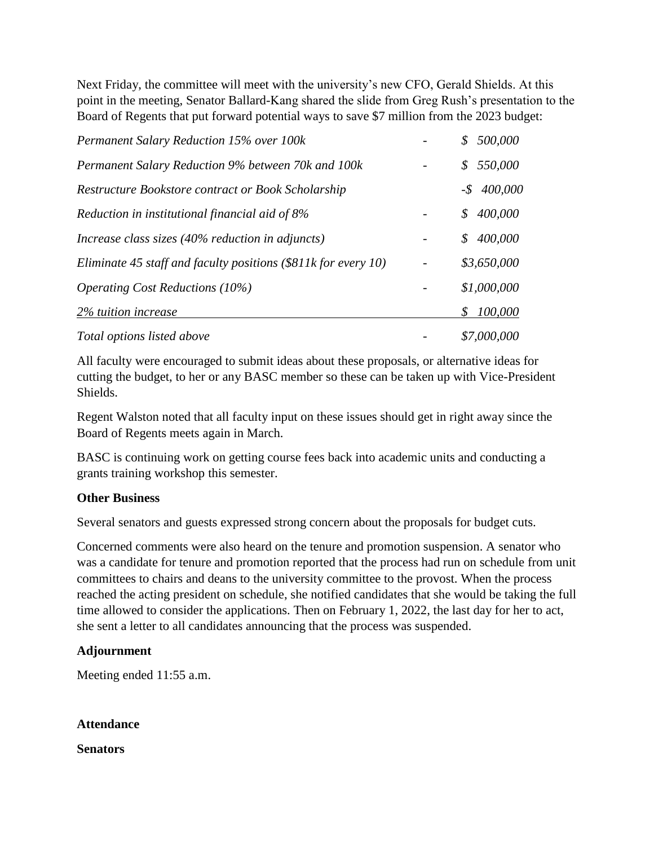Next Friday, the committee will meet with the university's new CFO, Gerald Shields. At this point in the meeting, Senator Ballard-Kang shared the slide from Greg Rush's presentation to the Board of Regents that put forward potential ways to save \$7 million from the 2023 budget:

| <b>Permanent Salary Reduction 15% over 100k</b>                  | 500,000<br>\$            |
|------------------------------------------------------------------|--------------------------|
| <b>Permanent Salary Reduction 9% between 70k and 100k</b>        | 550,000<br>S             |
| Restructure Bookstore contract or Book Scholarship               | $-$ \$ 400,000           |
| Reduction in institutional financial aid of 8%                   | 400,000<br>\$            |
| Increase class sizes (40% reduction in adjuncts)                 | 400,000<br>$\mathcal{S}$ |
| Eliminate 45 staff and faculty positions $(\$811k$ for every 10) | \$3,650,000              |
| <i>Operating Cost Reductions (10%)</i>                           | \$1,000,000              |
| 2% tuition increase                                              | 100,000<br>S             |
| Total options listed above                                       | \$7,000,000              |

All faculty were encouraged to submit ideas about these proposals, or alternative ideas for cutting the budget, to her or any BASC member so these can be taken up with Vice-President Shields.

Regent Walston noted that all faculty input on these issues should get in right away since the Board of Regents meets again in March.

BASC is continuing work on getting course fees back into academic units and conducting a grants training workshop this semester.

#### **Other Business**

Several senators and guests expressed strong concern about the proposals for budget cuts.

Concerned comments were also heard on the tenure and promotion suspension. A senator who was a candidate for tenure and promotion reported that the process had run on schedule from unit committees to chairs and deans to the university committee to the provost. When the process reached the acting president on schedule, she notified candidates that she would be taking the full time allowed to consider the applications. Then on February 1, 2022, the last day for her to act, she sent a letter to all candidates announcing that the process was suspended.

#### **Adjournment**

Meeting ended 11:55 a.m.

**Attendance**

**Senators**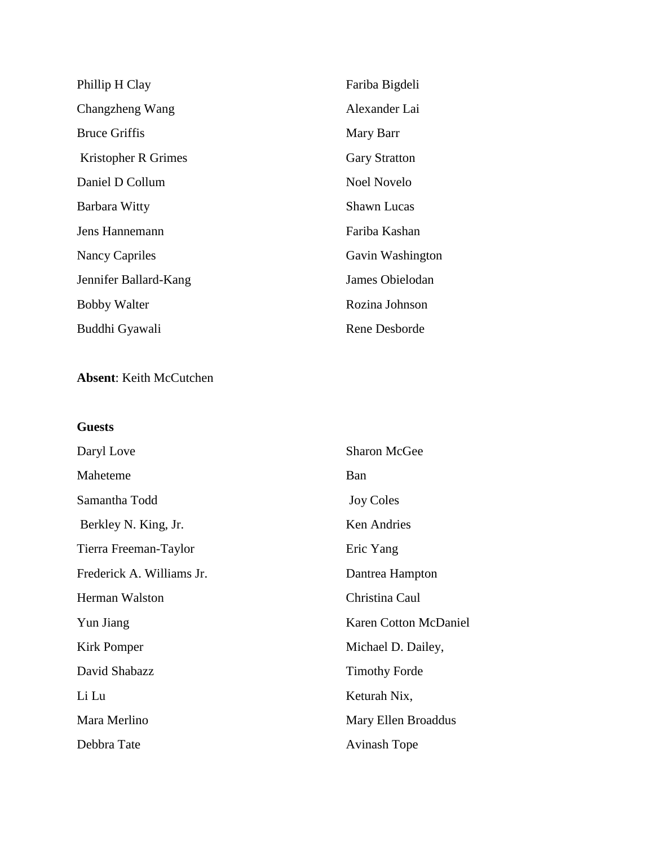| Phillip H Clay        | Fariba Bigdeli       |
|-----------------------|----------------------|
| Changzheng Wang       | Alexander Lai        |
| <b>Bruce Griffis</b>  | Mary Barr            |
| Kristopher R Grimes   | <b>Gary Stratton</b> |
| Daniel D Collum       | Noel Novelo          |
| Barbara Witty         | <b>Shawn Lucas</b>   |
| Jens Hannemann        | Fariba Kashan        |
| <b>Nancy Capriles</b> | Gavin Washington     |
| Jennifer Ballard-Kang | James Obielodan      |
| <b>Bobby Walter</b>   | Rozina Johnson       |
| Buddhi Gyawali        | Rene Desborde        |

# **Absent**: Keith McCutchen

# **Guests**

| Daryl Love                | <b>Sharon McGee</b>          |
|---------------------------|------------------------------|
| Maheteme                  | Ban                          |
| Samantha Todd             | <b>Joy Coles</b>             |
| Berkley N. King, Jr.      | Ken Andries                  |
| Tierra Freeman-Taylor     | Eric Yang                    |
| Frederick A. Williams Jr. | Dantrea Hampton              |
| Herman Walston            | Christina Caul               |
| Yun Jiang                 | <b>Karen Cotton McDaniel</b> |
| Kirk Pomper               | Michael D. Dailey,           |
| David Shabazz             | <b>Timothy Forde</b>         |
| Li Lu                     | Keturah Nix,                 |
| Mara Merlino              | Mary Ellen Broaddus          |
| Debbra Tate               | <b>Avinash Tope</b>          |